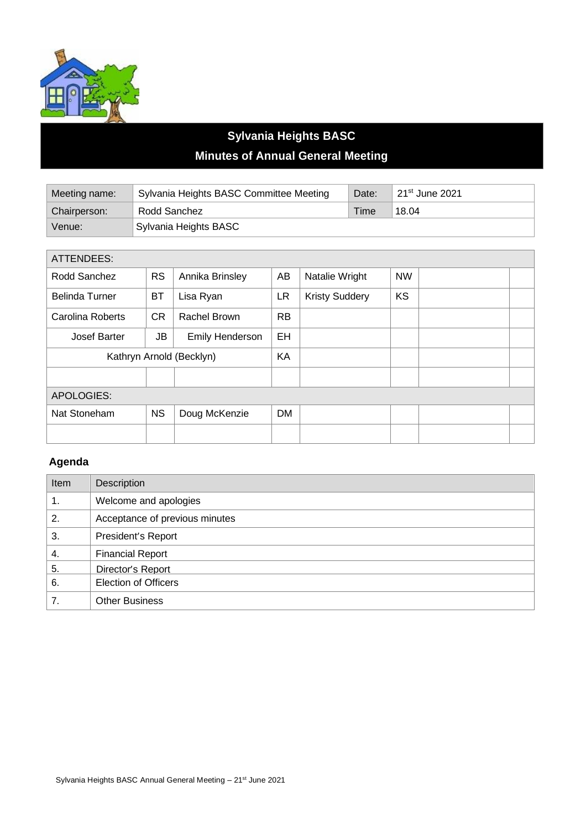

## **Sylvania Heights BASC Minutes of Annual General Meeting**

| Meeting name: | Sylvania Heights BASC Committee Meeting | Date:       | 21 <sup>st</sup> June 2021 |
|---------------|-----------------------------------------|-------------|----------------------------|
| Chairperson:  | Rodd Sanchez                            | <b>Time</b> | 18.04                      |
| Venue:        | Sylvania Heights BASC                   |             |                            |

| ATTENDEES:               |           |                 |           |                       |           |  |
|--------------------------|-----------|-----------------|-----------|-----------------------|-----------|--|
| Rodd Sanchez             | <b>RS</b> | Annika Brinsley | AB        | Natalie Wright        | <b>NW</b> |  |
| <b>Belinda Turner</b>    | <b>BT</b> | Lisa Ryan       | <b>LR</b> | <b>Kristy Suddery</b> | KS        |  |
| Carolina Roberts         | <b>CR</b> | Rachel Brown    | <b>RB</b> |                       |           |  |
| Josef Barter             | JB        | Emily Henderson | <b>EH</b> |                       |           |  |
| Kathryn Arnold (Becklyn) |           | KA              |           |                       |           |  |
|                          |           |                 |           |                       |           |  |
| <b>APOLOGIES:</b>        |           |                 |           |                       |           |  |
| Nat Stoneham             | <b>NS</b> | Doug McKenzie   | <b>DM</b> |                       |           |  |
|                          |           |                 |           |                       |           |  |

## **Agenda**

| Item | Description                    |  |
|------|--------------------------------|--|
| 1.   | Welcome and apologies          |  |
| 2.   | Acceptance of previous minutes |  |
| 3.   | President's Report             |  |
| 4.   | <b>Financial Report</b>        |  |
| 5.   | Director's Report              |  |
| 6.   | <b>Election of Officers</b>    |  |
| 7.   | <b>Other Business</b>          |  |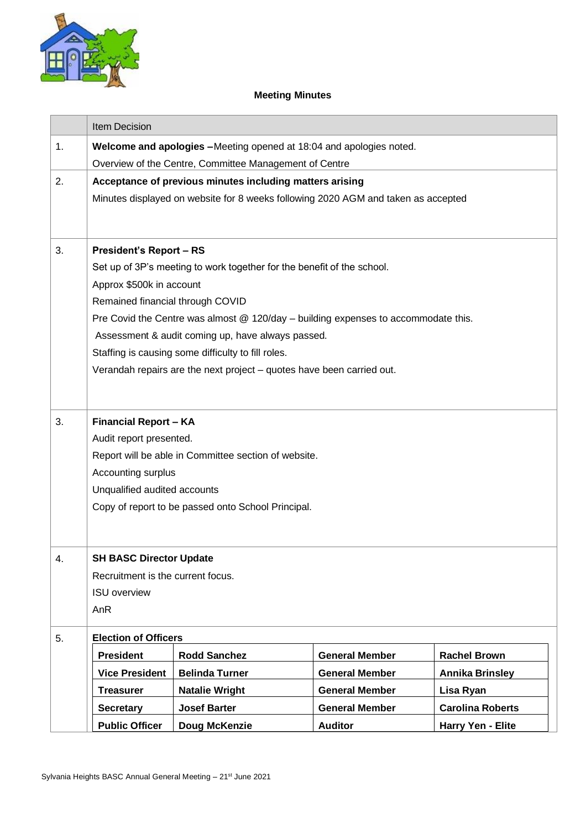

## **Meeting Minutes**

|    | <b>Item Decision</b>                                                                                    |                                                                       |                       |                         |
|----|---------------------------------------------------------------------------------------------------------|-----------------------------------------------------------------------|-----------------------|-------------------------|
| 1. | Welcome and apologies -Meeting opened at 18:04 and apologies noted.                                     |                                                                       |                       |                         |
|    | Overview of the Centre, Committee Management of Centre                                                  |                                                                       |                       |                         |
| 2. | Acceptance of previous minutes including matters arising                                                |                                                                       |                       |                         |
|    | Minutes displayed on website for 8 weeks following 2020 AGM and taken as accepted                       |                                                                       |                       |                         |
|    |                                                                                                         |                                                                       |                       |                         |
| 3. |                                                                                                         |                                                                       |                       |                         |
|    | <b>President's Report - RS</b>                                                                          |                                                                       |                       |                         |
|    | Set up of 3P's meeting to work together for the benefit of the school.                                  |                                                                       |                       |                         |
|    | Approx \$500k in account                                                                                |                                                                       |                       |                         |
|    | Remained financial through COVID                                                                        |                                                                       |                       |                         |
|    | Pre Covid the Centre was almost @ 120/day - building expenses to accommodate this.                      |                                                                       |                       |                         |
|    | Assessment & audit coming up, have always passed.<br>Staffing is causing some difficulty to fill roles. |                                                                       |                       |                         |
|    |                                                                                                         | Verandah repairs are the next project - quotes have been carried out. |                       |                         |
|    |                                                                                                         |                                                                       |                       |                         |
|    |                                                                                                         |                                                                       |                       |                         |
| 3. | <b>Financial Report - KA</b>                                                                            |                                                                       |                       |                         |
|    | Audit report presented.                                                                                 |                                                                       |                       |                         |
|    | Report will be able in Committee section of website.                                                    |                                                                       |                       |                         |
|    | Accounting surplus                                                                                      |                                                                       |                       |                         |
|    | Unqualified audited accounts                                                                            |                                                                       |                       |                         |
|    | Copy of report to be passed onto School Principal.                                                      |                                                                       |                       |                         |
|    |                                                                                                         |                                                                       |                       |                         |
|    |                                                                                                         |                                                                       |                       |                         |
| 4. | <b>SH BASC Director Update</b><br>Recruitment is the current focus.<br><b>ISU</b> overview              |                                                                       |                       |                         |
|    |                                                                                                         |                                                                       |                       |                         |
|    |                                                                                                         |                                                                       |                       |                         |
|    | AnR                                                                                                     |                                                                       |                       |                         |
| 5. | <b>Election of Officers</b>                                                                             |                                                                       |                       |                         |
|    | <b>President</b>                                                                                        | <b>Rodd Sanchez</b>                                                   | <b>General Member</b> | <b>Rachel Brown</b>     |
|    | <b>Vice President</b>                                                                                   | <b>Belinda Turner</b>                                                 | <b>General Member</b> | <b>Annika Brinsley</b>  |
|    | <b>Treasurer</b>                                                                                        | <b>Natalie Wright</b>                                                 | <b>General Member</b> | Lisa Ryan               |
|    | <b>Secretary</b>                                                                                        | <b>Josef Barter</b>                                                   | <b>General Member</b> | <b>Carolina Roberts</b> |
|    | <b>Public Officer</b>                                                                                   | Doug McKenzie                                                         | <b>Auditor</b>        | Harry Yen - Elite       |